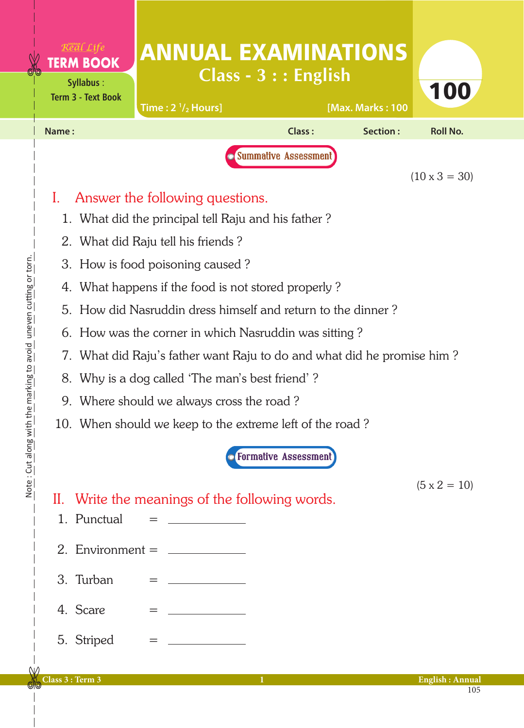|                                                 |                                                                                                                                        | <u>Real Life</u><br><b>TERM BOOK</b><br><b>Syllabus:</b><br><b>Term 3 - Text Book</b> |     | <b>ANNUAL EXAMINATIONS</b><br>Time: $2\frac{1}{2}$ Hours] | $Class - 3 :: English$               |  | [Max. Marks: 100 | 100                    |  |  |
|-------------------------------------------------|----------------------------------------------------------------------------------------------------------------------------------------|---------------------------------------------------------------------------------------|-----|-----------------------------------------------------------|--------------------------------------|--|------------------|------------------------|--|--|
|                                                 | Name:                                                                                                                                  |                                                                                       |     |                                                           | Class:                               |  | Section:         | <b>Roll No.</b>        |  |  |
|                                                 | Summative Assessment<br>$(10 \times 3 = 30)$<br>Answer the following questions.<br>1. What did the principal tell Raju and his father? |                                                                                       |     |                                                           |                                      |  |                  |                        |  |  |
|                                                 |                                                                                                                                        |                                                                                       |     |                                                           |                                      |  |                  |                        |  |  |
|                                                 |                                                                                                                                        | 2. What did Raju tell his friends?                                                    |     |                                                           |                                      |  |                  |                        |  |  |
|                                                 |                                                                                                                                        | 3. How is food poisoning caused?                                                      |     |                                                           |                                      |  |                  |                        |  |  |
| th the marking to avoid uneven cutting or torn. |                                                                                                                                        | 4. What happens if the food is not stored properly?                                   |     |                                                           |                                      |  |                  |                        |  |  |
|                                                 |                                                                                                                                        | 5. How did Nasruddin dress himself and return to the dinner?                          |     |                                                           |                                      |  |                  |                        |  |  |
|                                                 |                                                                                                                                        | 6. How was the corner in which Nasruddin was sitting?                                 |     |                                                           |                                      |  |                  |                        |  |  |
|                                                 |                                                                                                                                        | 7. What did Raju's father want Raju to do and what did he promise him?                |     |                                                           |                                      |  |                  |                        |  |  |
|                                                 |                                                                                                                                        | 8. Why is a dog called 'The man's best friend'?                                       |     |                                                           |                                      |  |                  |                        |  |  |
|                                                 |                                                                                                                                        | 9. Where should we always cross the road?                                             |     |                                                           |                                      |  |                  |                        |  |  |
|                                                 |                                                                                                                                        | 10. When should we keep to the extreme left of the road?                              |     |                                                           |                                      |  |                  |                        |  |  |
|                                                 |                                                                                                                                        |                                                                                       |     |                                                           | <b><i>C</i></b> Formative Assessment |  |                  |                        |  |  |
| Note: Cut along wi                              |                                                                                                                                        | 1. Punctual                                                                           |     | II. Write the meanings of the following words.            |                                      |  |                  | $(5 \times 2 = 10)$    |  |  |
|                                                 |                                                                                                                                        | 2. Environment = $\_\_$                                                               |     |                                                           |                                      |  |                  |                        |  |  |
|                                                 |                                                                                                                                        | 3. Turban                                                                             |     |                                                           |                                      |  |                  |                        |  |  |
|                                                 |                                                                                                                                        | 4. Scare                                                                              | $=$ |                                                           |                                      |  |                  |                        |  |  |
|                                                 |                                                                                                                                        | 5. Striped                                                                            |     |                                                           |                                      |  |                  |                        |  |  |
|                                                 | Class 3 : Term 3                                                                                                                       |                                                                                       |     |                                                           | $\mathbf{1}$                         |  |                  | <b>English: Annual</b> |  |  |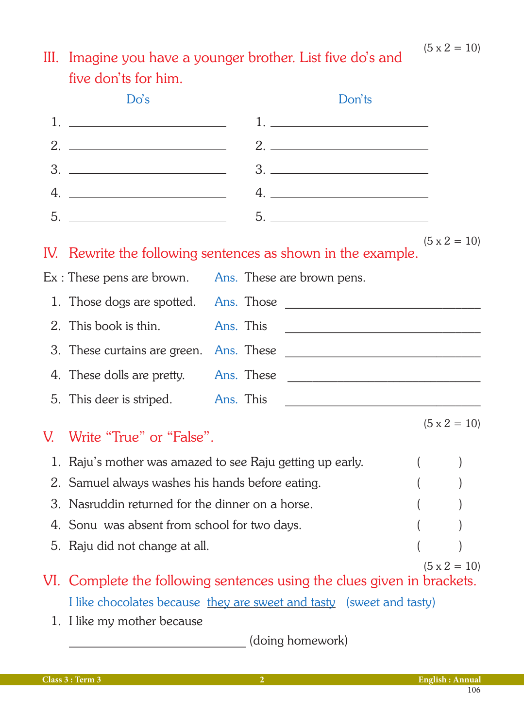## III. Imagine you have a younger brother. List five do's and five don'ts for him.

|    | Do's                                                                                                                                                                   |           |  |  | Don'ts                              |  |                     |
|----|------------------------------------------------------------------------------------------------------------------------------------------------------------------------|-----------|--|--|-------------------------------------|--|---------------------|
|    |                                                                                                                                                                        |           |  |  | <u>1. _________________________</u> |  |                     |
|    |                                                                                                                                                                        |           |  |  |                                     |  |                     |
| 3. | <u> 1980 - Andrea Andrew Maria (h. 1980).</u>                                                                                                                          |           |  |  |                                     |  |                     |
| 4. | <u> 1980 - Andrea Andrew Maria (h. 1980).</u>                                                                                                                          |           |  |  |                                     |  |                     |
|    |                                                                                                                                                                        |           |  |  |                                     |  |                     |
|    | IV. Rewrite the following sentences as shown in the example.                                                                                                           |           |  |  |                                     |  | $(5 \times 2 = 10)$ |
|    | $Ex:$ These pens are brown. Ans. These are brown pens.                                                                                                                 |           |  |  |                                     |  |                     |
|    |                                                                                                                                                                        |           |  |  |                                     |  |                     |
|    | 2. This book is thin.                                                                                                                                                  | Ans. This |  |  |                                     |  |                     |
|    |                                                                                                                                                                        |           |  |  |                                     |  |                     |
|    |                                                                                                                                                                        |           |  |  |                                     |  |                     |
|    |                                                                                                                                                                        |           |  |  |                                     |  |                     |
| V. | Write "True" or "False".                                                                                                                                               |           |  |  |                                     |  | $(5 \times 2 = 10)$ |
|    | 1. Raju's mother was amazed to see Raju getting up early.<br>$\overline{(}$                                                                                            |           |  |  |                                     |  |                     |
|    | 2. Samuel always washes his hands before eating.                                                                                                                       |           |  |  |                                     |  |                     |
|    | 3. Nasruddin returned for the dinner on a horse.                                                                                                                       |           |  |  |                                     |  |                     |
|    | 4. Sonu was absent from school for two days.                                                                                                                           |           |  |  |                                     |  |                     |
|    | 5. Raju did not change at all.                                                                                                                                         |           |  |  |                                     |  |                     |
|    | $(5 \times 2 = 10)$<br>VI. Complete the following sentences using the clues given in brackets.<br>I like chocolates because they are sweet and tasty (sweet and tasty) |           |  |  |                                     |  |                     |
|    | 1. I like my mother because                                                                                                                                            |           |  |  |                                     |  |                     |

\_\_\_\_\_\_\_\_\_\_\_\_\_\_\_\_\_\_\_\_\_\_\_\_\_\_\_\_ (doing homework)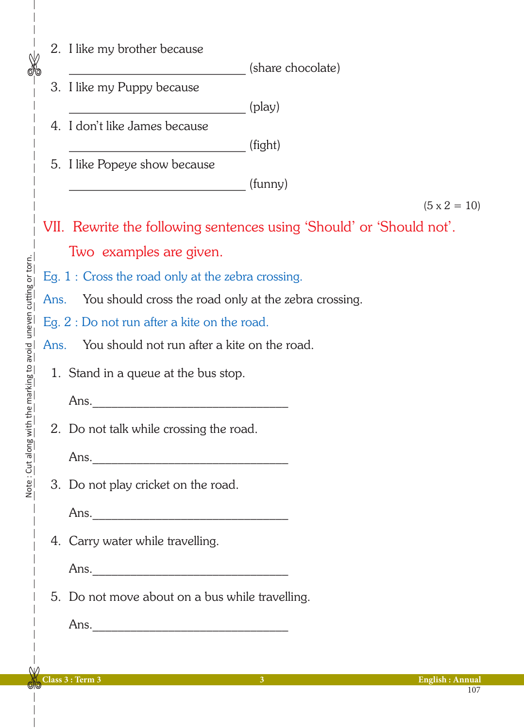|                                                   |      | 2. I like my brother because                                         |                     |  |  |
|---------------------------------------------------|------|----------------------------------------------------------------------|---------------------|--|--|
| $\frac{1}{\sqrt{2}}$                              |      |                                                                      | (share chocolate)   |  |  |
|                                                   |      | 3. I like my Puppy because                                           |                     |  |  |
|                                                   |      | $(\text{play})$<br>4. I don't like James because                     |                     |  |  |
|                                                   |      | (fight)                                                              |                     |  |  |
|                                                   |      | 5. I like Popeye show because                                        |                     |  |  |
|                                                   |      | (funny)                                                              |                     |  |  |
|                                                   |      |                                                                      | $(5 \times 2 = 10)$ |  |  |
|                                                   |      | VII. Rewrite the following sentences using 'Should' or 'Should not'. |                     |  |  |
|                                                   |      | Two examples are given.                                              |                     |  |  |
|                                                   |      | Eg. $1:$ Cross the road only at the zebra crossing.                  |                     |  |  |
|                                                   | Ans. | You should cross the road only at the zebra crossing.                |                     |  |  |
|                                                   |      | Eg. $2:$ Do not run after a kite on the road.                        |                     |  |  |
|                                                   | Ans. | You should not run after a kite on the road.                         |                     |  |  |
| with the marking to avoid uneven cutting or torn. |      | 1. Stand in a queue at the bus stop.                                 |                     |  |  |
|                                                   |      |                                                                      |                     |  |  |
|                                                   |      | Ans.                                                                 |                     |  |  |
|                                                   |      | 2. Do not talk while crossing the road.                              |                     |  |  |
| : Cut along                                       |      |                                                                      |                     |  |  |
| Note                                              |      | 3. Do not play cricket on the road.                                  |                     |  |  |
|                                                   |      |                                                                      |                     |  |  |
|                                                   |      |                                                                      |                     |  |  |
|                                                   |      | 4. Carry water while travelling.                                     |                     |  |  |
|                                                   |      |                                                                      |                     |  |  |
|                                                   |      | 5. Do not move about on a bus while travelling.                      |                     |  |  |
|                                                   |      |                                                                      |                     |  |  |
|                                                   |      |                                                                      |                     |  |  |
|                                                   |      |                                                                      |                     |  |  |

 $\overline{\phantom{a}}$ 

 $\overline{\phantom{a}}$